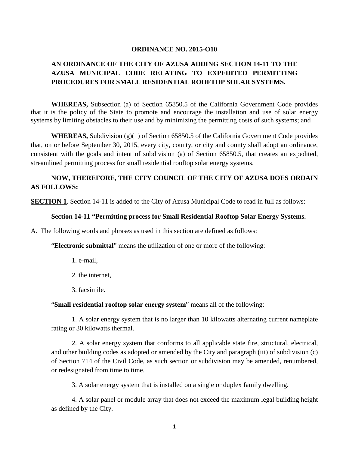#### **ORDINANCE NO. 2015-O10**

# **AN ORDINANCE OF THE CITY OF AZUSA ADDING SECTION 14-11 TO THE AZUSA MUNICIPAL CODE RELATING TO EXPEDITED PERMITTING PROCEDURES FOR SMALL RESIDENTIAL ROOFTOP SOLAR SYSTEMS.**

**WHEREAS,** Subsection (a) of Section 65850.5 of the California Government Code provides that it is the policy of the State to promote and encourage the installation and use of solar energy systems by limiting obstacles to their use and by minimizing the permitting costs of such systems; and

**WHEREAS,** Subdivision (g)(1) of Section 65850.5 of the California Government Code provides that, on or before September 30, 2015, every city, county, or city and county shall adopt an ordinance, consistent with the goals and intent of subdivision (a) of Section 65850.5, that creates an expedited, streamlined permitting process for small residential rooftop solar energy systems.

### **NOW, THEREFORE, THE CITY COUNCIL OF THE CITY OF AZUSA DOES ORDAIN AS FOLLOWS:**

**SECTION 1.** Section 14-11 is added to the City of Azusa Municipal Code to read in full as follows:

#### **Section 14-11 "Permitting process for Small Residential Rooftop Solar Energy Systems.**

A. The following words and phrases as used in this section are defined as follows:

"**Electronic submittal**" means the utilization of one or more of the following:

- 1. e-mail,
- 2. the internet,
- 3. facsimile.

"**Small residential rooftop solar energy system**" means all of the following:

1. A solar energy system that is no larger than 10 kilowatts alternating current nameplate rating or 30 kilowatts thermal.

2. A solar energy system that conforms to all applicable state fire, structural, electrical, and other building codes as adopted or amended by the City and paragraph (iii) of subdivision (c) of Section 714 of the Civil Code, as such section or subdivision may be amended, renumbered, or redesignated from time to time.

3. A solar energy system that is installed on a single or duplex family dwelling.

4. A solar panel or module array that does not exceed the maximum legal building height as defined by the City.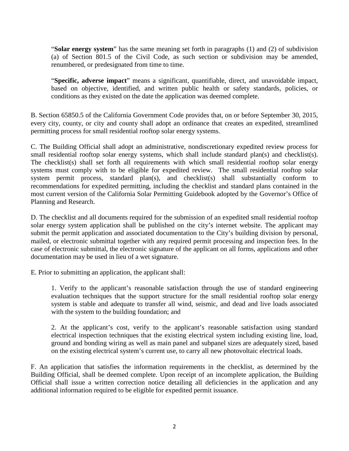"**Solar energy system**" has the same meaning set forth in paragraphs (1) and (2) of subdivision (a) of Section 801.5 of the Civil Code, as such section or subdivision may be amended, renumbered, or predesignated from time to time.

"**Specific, adverse impact**" means a significant, quantifiable, direct, and unavoidable impact, based on objective, identified, and written public health or safety standards, policies, or conditions as they existed on the date the application was deemed complete.

B. Section 65850.5 of the California Government Code provides that, on or before September 30, 2015, every city, county, or city and county shall adopt an ordinance that creates an expedited, streamlined permitting process for small residential rooftop solar energy systems.

C. The Building Official shall adopt an administrative, nondiscretionary expedited review process for small residential rooftop solar energy systems, which shall include standard plan(s) and checklist(s). The checklist(s) shall set forth all requirements with which small residential rooftop solar energy systems must comply with to be eligible for expedited review. The small residential rooftop solar system permit process, standard plan(s), and checklist(s) shall substantially conform to recommendations for expedited permitting, including the checklist and standard plans contained in the most current version of the California Solar Permitting Guidebook adopted by the Governor's Office of Planning and Research.

D. The checklist and all documents required for the submission of an expedited small residential rooftop solar energy system application shall be published on the city's internet website. The applicant may submit the permit application and associated documentation to the City's building division by personal, mailed, or electronic submittal together with any required permit processing and inspection fees. In the case of electronic submittal, the electronic signature of the applicant on all forms, applications and other documentation may be used in lieu of a wet signature.

E. Prior to submitting an application, the applicant shall:

1. Verify to the applicant's reasonable satisfaction through the use of standard engineering evaluation techniques that the support structure for the small residential rooftop solar energy system is stable and adequate to transfer all wind, seismic, and dead and live loads associated with the system to the building foundation; and

2. At the applicant's cost, verify to the applicant's reasonable satisfaction using standard electrical inspection techniques that the existing electrical system including existing line, load, ground and bonding wiring as well as main panel and subpanel sizes are adequately sized, based on the existing electrical system's current use, to carry all new photovoltaic electrical loads.

F. An application that satisfies the information requirements in the checklist, as determined by the Building Official, shall be deemed complete. Upon receipt of an incomplete application, the Building Official shall issue a written correction notice detailing all deficiencies in the application and any additional information required to be eligible for expedited permit issuance.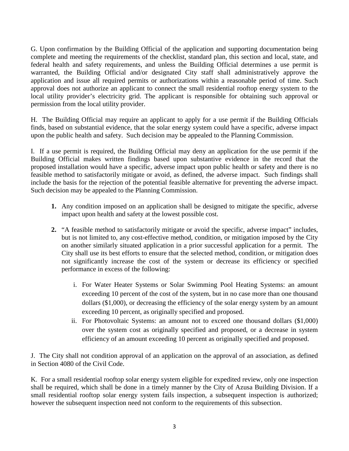G. Upon confirmation by the Building Official of the application and supporting documentation being complete and meeting the requirements of the checklist, standard plan, this section and local, state, and federal health and safety requirements, and unless the Building Official determines a use permit is warranted, the Building Official and/or designated City staff shall administratively approve the application and issue all required permits or authorizations within a reasonable period of time. Such approval does not authorize an applicant to connect the small residential rooftop energy system to the local utility provider's electricity grid. The applicant is responsible for obtaining such approval or permission from the local utility provider.

H. The Building Official may require an applicant to apply for a use permit if the Building Officials finds, based on substantial evidence, that the solar energy system could have a specific, adverse impact upon the public health and safety. Such decision may be appealed to the Planning Commission.

I. If a use permit is required, the Building Official may deny an application for the use permit if the Building Official makes written findings based upon substantive evidence in the record that the proposed installation would have a specific, adverse impact upon public health or safety and there is no feasible method to satisfactorily mitigate or avoid, as defined, the adverse impact. Such findings shall include the basis for the rejection of the potential feasible alternative for preventing the adverse impact. Such decision may be appealed to the Planning Commission.

- **1.** Any condition imposed on an application shall be designed to mitigate the specific, adverse impact upon health and safety at the lowest possible cost.
- **2.** "A feasible method to satisfactorily mitigate or avoid the specific, adverse impact" includes, but is not limited to, any cost-effective method, condition, or mitigation imposed by the City on another similarly situated application in a prior successful application for a permit. The City shall use its best efforts to ensure that the selected method, condition, or mitigation does not significantly increase the cost of the system or decrease its efficiency or specified performance in excess of the following:
	- i. For Water Heater Systems or Solar Swimming Pool Heating Systems: an amount exceeding 10 percent of the cost of the system, but in no case more than one thousand dollars (\$1,000), or decreasing the efficiency of the solar energy system by an amount exceeding 10 percent, as originally specified and proposed.
	- ii. For Photovoltaic Systems: an amount not to exceed one thousand dollars (\$1,000) over the system cost as originally specified and proposed, or a decrease in system efficiency of an amount exceeding 10 percent as originally specified and proposed.

J. The City shall not condition approval of an application on the approval of an association, as defined in Section 4080 of the Civil Code.

K. For a small residential rooftop solar energy system eligible for expedited review, only one inspection shall be required, which shall be done in a timely manner by the City of Azusa Building Division. If a small residential rooftop solar energy system fails inspection, a subsequent inspection is authorized; however the subsequent inspection need not conform to the requirements of this subsection.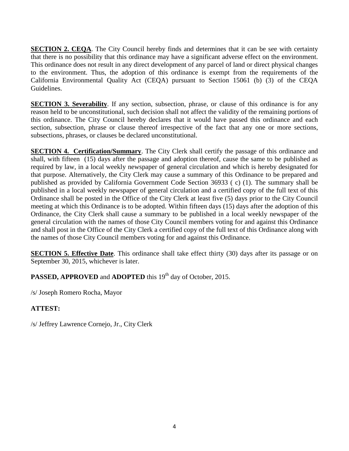**SECTION 2. CEQA**. The City Council hereby finds and determines that it can be see with certainty that there is no possibility that this ordinance may have a significant adverse effect on the environment. This ordinance does not result in any direct development of any parcel of land or direct physical changes to the environment. Thus, the adoption of this ordinance is exempt from the requirements of the California Environmental Quality Act (CEQA) pursuant to Section 15061 (b) (3) of the CEQA Guidelines.

**SECTION 3. Severability**. If any section, subsection, phrase, or clause of this ordinance is for any reason held to be unconstitutional, such decision shall not affect the validity of the remaining portions of this ordinance. The City Council hereby declares that it would have passed this ordinance and each section, subsection, phrase or clause thereof irrespective of the fact that any one or more sections, subsections, phrases, or clauses be declared unconstitutional.

**SECTION 4. Certification/Summary**. The City Clerk shall certify the passage of this ordinance and shall, with fifteen (15) days after the passage and adoption thereof, cause the same to be published as required by law, in a local weekly newspaper of general circulation and which is hereby designated for that purpose. Alternatively, the City Clerk may cause a summary of this Ordinance to be prepared and published as provided by California Government Code Section 36933 ( c) (1). The summary shall be published in a local weekly newspaper of general circulation and a certified copy of the full text of this Ordinance shall be posted in the Office of the City Clerk at least five (5) days prior to the City Council meeting at which this Ordinance is to be adopted. Within fifteen days (15) days after the adoption of this Ordinance, the City Clerk shall cause a summary to be published in a local weekly newspaper of the general circulation with the names of those City Council members voting for and against this Ordinance and shall post in the Office of the City Clerk a certified copy of the full text of this Ordinance along with the names of those City Council members voting for and against this Ordinance.

**SECTION 5. Effective Date**. This ordinance shall take effect thirty (30) days after its passage or on September 30, 2015, whichever is later.

**PASSED, APPROVED** and **ADOPTED** this 19<sup>th</sup> day of October, 2015.

/s/ Joseph Romero Rocha, Mayor

## **ATTEST:**

/s/ Jeffrey Lawrence Cornejo, Jr., City Clerk